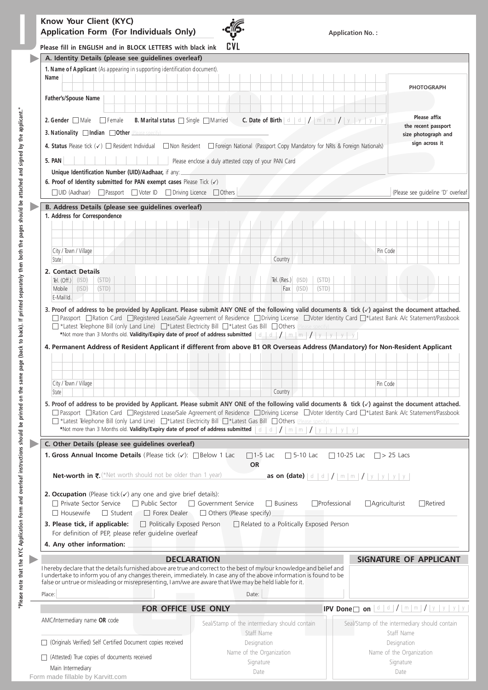

Name of the Organization Signature Date

| Please fill in ENGLISH and in BLOCK LETTERS with black ink                                                                                                                                                                                                                                                                                                                                                                                                           | <b>CVL</b>                                           |                                                                                               |                                                                                                                                                                                                                                        |                 |                     |                  |                                                                                     |                      |                                    |                                     |  |
|----------------------------------------------------------------------------------------------------------------------------------------------------------------------------------------------------------------------------------------------------------------------------------------------------------------------------------------------------------------------------------------------------------------------------------------------------------------------|------------------------------------------------------|-----------------------------------------------------------------------------------------------|----------------------------------------------------------------------------------------------------------------------------------------------------------------------------------------------------------------------------------------|-----------------|---------------------|------------------|-------------------------------------------------------------------------------------|----------------------|------------------------------------|-------------------------------------|--|
|                                                                                                                                                                                                                                                                                                                                                                                                                                                                      |                                                      |                                                                                               |                                                                                                                                                                                                                                        |                 |                     |                  |                                                                                     |                      |                                    |                                     |  |
| A. Identity Details (please see guidelines overleaf)                                                                                                                                                                                                                                                                                                                                                                                                                 |                                                      |                                                                                               |                                                                                                                                                                                                                                        |                 |                     |                  |                                                                                     |                      |                                    |                                     |  |
| 1. Name of Applicant (As appearing in supporting identification document).<br>Name                                                                                                                                                                                                                                                                                                                                                                                   |                                                      |                                                                                               |                                                                                                                                                                                                                                        |                 |                     |                  |                                                                                     |                      |                                    |                                     |  |
|                                                                                                                                                                                                                                                                                                                                                                                                                                                                      |                                                      |                                                                                               |                                                                                                                                                                                                                                        |                 |                     |                  |                                                                                     |                      |                                    | <b>PHOTOGRAPH</b>                   |  |
| Father's/Spouse Name                                                                                                                                                                                                                                                                                                                                                                                                                                                 |                                                      |                                                                                               |                                                                                                                                                                                                                                        |                 |                     |                  |                                                                                     |                      |                                    |                                     |  |
|                                                                                                                                                                                                                                                                                                                                                                                                                                                                      |                                                      |                                                                                               |                                                                                                                                                                                                                                        |                 |                     |                  |                                                                                     |                      |                                    |                                     |  |
| <b>2. Gender</b> $\Box$ Male $\Box$ Female<br>B. Marital status Single Married                                                                                                                                                                                                                                                                                                                                                                                       |                                                      | <b>C.</b> Date of Birth $\mid d \mid d \mid / \mid m \mid m \mid / \mid y \mid y \mid y \mid$ |                                                                                                                                                                                                                                        |                 |                     |                  |                                                                                     |                      |                                    | Please affix<br>the recent passport |  |
| 3. Nationality Indian Other (Please specify)                                                                                                                                                                                                                                                                                                                                                                                                                         |                                                      |                                                                                               |                                                                                                                                                                                                                                        |                 |                     |                  |                                                                                     |                      |                                    | size photograph and                 |  |
| 4. Status Please tick $(\checkmark)$ Resident Individual Mon Resident Froreign National (Passport Copy Mandatory for NRIs & Foreign Nationals)                                                                                                                                                                                                                                                                                                                       |                                                      |                                                                                               |                                                                                                                                                                                                                                        |                 |                     |                  |                                                                                     |                      |                                    | sign across it                      |  |
| 5. PAN                                                                                                                                                                                                                                                                                                                                                                                                                                                               | Please enclose a duly attested copy of your PAN Card |                                                                                               |                                                                                                                                                                                                                                        |                 |                     |                  |                                                                                     |                      |                                    |                                     |  |
| Unique Identification Number (UID)/Aadhaar, if any:                                                                                                                                                                                                                                                                                                                                                                                                                  |                                                      |                                                                                               |                                                                                                                                                                                                                                        |                 |                     |                  |                                                                                     |                      |                                    |                                     |  |
| 6. Proof of Identity submitted for PAN exempt cases Please Tick $(\checkmark)$                                                                                                                                                                                                                                                                                                                                                                                       |                                                      |                                                                                               |                                                                                                                                                                                                                                        |                 |                     |                  |                                                                                     |                      |                                    |                                     |  |
| □ UID (Aadhaar) □ Passport □ Voter ID □ Driving Licence □ Others                                                                                                                                                                                                                                                                                                                                                                                                     |                                                      |                                                                                               |                                                                                                                                                                                                                                        |                 |                     |                  |                                                                                     |                      | (Please see guideline 'D' overleaf |                                     |  |
| B. Address Details (please see guidelines overleaf)                                                                                                                                                                                                                                                                                                                                                                                                                  |                                                      |                                                                                               |                                                                                                                                                                                                                                        |                 |                     |                  |                                                                                     |                      |                                    |                                     |  |
| 1. Address for Correspondence                                                                                                                                                                                                                                                                                                                                                                                                                                        |                                                      |                                                                                               |                                                                                                                                                                                                                                        |                 |                     |                  |                                                                                     |                      |                                    |                                     |  |
|                                                                                                                                                                                                                                                                                                                                                                                                                                                                      |                                                      |                                                                                               |                                                                                                                                                                                                                                        |                 |                     |                  |                                                                                     |                      |                                    |                                     |  |
|                                                                                                                                                                                                                                                                                                                                                                                                                                                                      |                                                      |                                                                                               |                                                                                                                                                                                                                                        |                 |                     |                  |                                                                                     |                      |                                    |                                     |  |
| City / Town / Village<br>State                                                                                                                                                                                                                                                                                                                                                                                                                                       |                                                      |                                                                                               | Country                                                                                                                                                                                                                                |                 |                     |                  |                                                                                     | Pin Code             |                                    |                                     |  |
| 2. Contact Details                                                                                                                                                                                                                                                                                                                                                                                                                                                   |                                                      |                                                                                               |                                                                                                                                                                                                                                        |                 |                     |                  |                                                                                     |                      |                                    |                                     |  |
| Tel. $(Off.)$ (ISD)<br>(STD)                                                                                                                                                                                                                                                                                                                                                                                                                                         |                                                      |                                                                                               | Tel. $(Res.)$                                                                                                                                                                                                                          | (ISD)           | (STD)               |                  |                                                                                     |                      |                                    |                                     |  |
| Mobile<br>(ISD)<br>(STD)                                                                                                                                                                                                                                                                                                                                                                                                                                             |                                                      |                                                                                               | Fax                                                                                                                                                                                                                                    | (ISD)           | (STD)               |                  |                                                                                     |                      |                                    |                                     |  |
| E-Mail Id.                                                                                                                                                                                                                                                                                                                                                                                                                                                           |                                                      |                                                                                               |                                                                                                                                                                                                                                        |                 |                     |                  |                                                                                     |                      |                                    |                                     |  |
| 4. Permanent Address of Resident Applicant if different from above B1 OR Overseas Address (Mandatory) for Non-Resident Applicant                                                                                                                                                                                                                                                                                                                                     |                                                      |                                                                                               |                                                                                                                                                                                                                                        |                 |                     |                  |                                                                                     |                      |                                    |                                     |  |
|                                                                                                                                                                                                                                                                                                                                                                                                                                                                      |                                                      |                                                                                               |                                                                                                                                                                                                                                        |                 |                     |                  |                                                                                     |                      |                                    |                                     |  |
| City / Town / Village                                                                                                                                                                                                                                                                                                                                                                                                                                                |                                                      |                                                                                               |                                                                                                                                                                                                                                        |                 |                     |                  |                                                                                     | Pin Code             |                                    |                                     |  |
| State                                                                                                                                                                                                                                                                                                                                                                                                                                                                |                                                      |                                                                                               | Country                                                                                                                                                                                                                                |                 |                     |                  |                                                                                     |                      |                                    |                                     |  |
| 5. Proof of address to be provided by Applicant. Please submit ANY ONE of the following valid documents & tick $(\checkmark)$ against the document attached.<br>□ Passport □ Ration Card □ Reqistered Lease/Sale Agreement of Residence □ Driving License □ Voter Identity Card □*Latest Bank A/c Statement/Passbook<br>T*Latest Telephone Bill (only Land Line) T*Latest Electricity Bill T*Latest Gas Bill T Others (Please specify)                               |                                                      |                                                                                               |                                                                                                                                                                                                                                        |                 |                     |                  |                                                                                     |                      |                                    |                                     |  |
| *Not more than 3 Months old. Validity/Expiry date of proof of address submitted                                                                                                                                                                                                                                                                                                                                                                                      |                                                      |                                                                                               | $\boxed{\mathsf{d}}$ $\boxed{\mathsf{d}}$ $\boxed{\mathsf{d}}$ $\boxed{\mathsf{f}}$ $\boxed{\mathsf{m}}$ $\boxed{\mathsf{m}}$ $\boxed{\mathsf{f}}$ $\boxed{\mathsf{y}}$ $\boxed{\mathsf{y}}$ $\boxed{\mathsf{y}}$ $\boxed{\mathsf{y}}$ |                 |                     |                  |                                                                                     |                      |                                    |                                     |  |
| C. Other Details (please see guidelines overleaf)                                                                                                                                                                                                                                                                                                                                                                                                                    |                                                      |                                                                                               |                                                                                                                                                                                                                                        |                 |                     |                  |                                                                                     |                      |                                    |                                     |  |
| <b>1. Gross Annual Income Details</b> (Please tick $(\checkmark)$ : Below 1 Lac                                                                                                                                                                                                                                                                                                                                                                                      |                                                      | $\square$ 1-5 Lac                                                                             |                                                                                                                                                                                                                                        | $\Box$ 5-10 Lac |                     | $\Box$ 10-25 Lac |                                                                                     | $\Box$ > 25 Lacs     |                                    |                                     |  |
|                                                                                                                                                                                                                                                                                                                                                                                                                                                                      |                                                      | <b>OR</b>                                                                                     |                                                                                                                                                                                                                                        |                 |                     |                  |                                                                                     |                      |                                    |                                     |  |
| <b>Net-worth in <math>\overline{\tau}</math>.</b> (*Net worth should not be older than 1 year)                                                                                                                                                                                                                                                                                                                                                                       |                                                      |                                                                                               | <b>as on (date)</b> $\vert$ d $\vert$ d $\vert$ / $\vert$ m $\vert$ m $\vert$ / $\vert$ y $\vert$ y $\vert$ y $\vert$ y $\vert$ y                                                                                                      |                 |                     |                  |                                                                                     |                      |                                    |                                     |  |
|                                                                                                                                                                                                                                                                                                                                                                                                                                                                      |                                                      |                                                                                               |                                                                                                                                                                                                                                        |                 |                     |                  |                                                                                     |                      |                                    |                                     |  |
| <b>2. Occupation</b> (Please tick $(\checkmark)$ any one and give brief details):<br>$\Box$ Public Sector<br>$\Box$ Private Sector Service                                                                                                                                                                                                                                                                                                                           | □ Government Service                                 |                                                                                               | $\Box$ Business                                                                                                                                                                                                                        |                 | $\Box$ Professional |                  |                                                                                     | $\Box$ Agriculturist |                                    | $\Box$ Retired                      |  |
| $\Box$ Housewife<br>$\Box$ Student<br>$\Box$ Forex Dealer<br>3. Please tick, if applicable:                                                                                                                                                                                                                                                                                                                                                                          | $\Box$ Others (Please specify)                       |                                                                                               |                                                                                                                                                                                                                                        |                 |                     |                  |                                                                                     |                      |                                    |                                     |  |
| Politically Exposed Person<br>For definition of PEP, please refer guideline overleaf                                                                                                                                                                                                                                                                                                                                                                                 |                                                      | Related to a Politically Exposed Person                                                       |                                                                                                                                                                                                                                        |                 |                     |                  |                                                                                     |                      |                                    |                                     |  |
|                                                                                                                                                                                                                                                                                                                                                                                                                                                                      |                                                      |                                                                                               |                                                                                                                                                                                                                                        |                 |                     |                  |                                                                                     |                      |                                    |                                     |  |
| 4. Any other information:                                                                                                                                                                                                                                                                                                                                                                                                                                            | <b>DECLARATION</b>                                   |                                                                                               |                                                                                                                                                                                                                                        |                 |                     |                  |                                                                                     |                      | <b>SIGNATURE OF APPLICANT</b>      |                                     |  |
|                                                                                                                                                                                                                                                                                                                                                                                                                                                                      |                                                      |                                                                                               |                                                                                                                                                                                                                                        |                 |                     |                  |                                                                                     |                      |                                    |                                     |  |
|                                                                                                                                                                                                                                                                                                                                                                                                                                                                      |                                                      |                                                                                               |                                                                                                                                                                                                                                        |                 |                     |                  |                                                                                     |                      |                                    |                                     |  |
|                                                                                                                                                                                                                                                                                                                                                                                                                                                                      |                                                      | Date:                                                                                         |                                                                                                                                                                                                                                        |                 |                     |                  |                                                                                     |                      |                                    |                                     |  |
| FOR OFFICE USE ONLY                                                                                                                                                                                                                                                                                                                                                                                                                                                  |                                                      |                                                                                               |                                                                                                                                                                                                                                        |                 |                     |                  | <b>IPV</b> Done $\Box$ on $\boxed{d/d}/\boxed{m}$ $\boxed{m}/\boxed{y}$ $\boxed{y}$ |                      |                                    |                                     |  |
|                                                                                                                                                                                                                                                                                                                                                                                                                                                                      | Seal/Stamp of the intermediary should contain        |                                                                                               |                                                                                                                                                                                                                                        |                 |                     |                  | Seal/Stamp of the intermediary should contain                                       |                      |                                    |                                     |  |
| I hereby declare that the details furnished above are true and correct to the best of my/our knowledge and belief and<br>I undertake to inform you of any changes therein, immediately. In case any of the above information is found to be<br>false or untrue or misleading or misrepresenting, I am/we are aware that I/we may be held liable for it.<br>Place:<br>AMC/Intermediary name OR code<br>□ (Originals Verified) Self Certified Document copies received |                                                      | Staff Name<br>Designation                                                                     |                                                                                                                                                                                                                                        |                 |                     |                  |                                                                                     |                      | Staff Name<br>Designation          |                                     |  |

Name of the Organization Signature Date

(Attested) True copies of documents received

Main Intermediary

Form made fillable by Karvitt.com